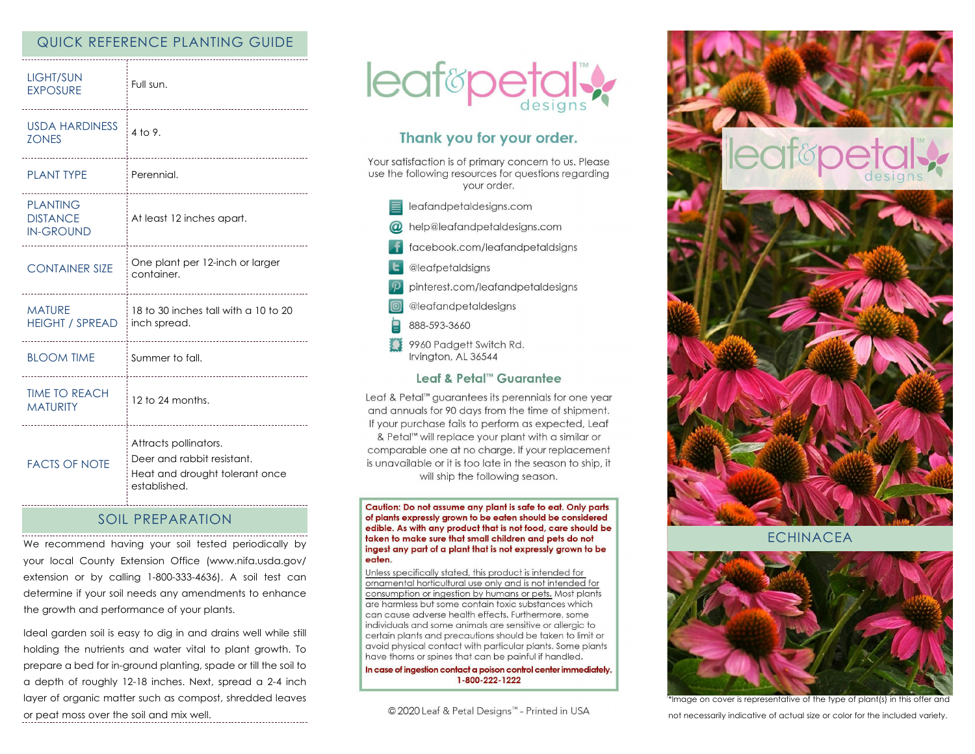## QUICK REFERENCE PLANTING GUIDE

| <b>LIGHT/SUN</b><br><b>EXPOSURE</b>                    | Full sun.<br>                                                                                         |
|--------------------------------------------------------|-------------------------------------------------------------------------------------------------------|
| <b>USDA HARDINESS</b><br><b>ZONES</b>                  | 4 to 9.                                                                                               |
| <b>PLANT TYPE</b>                                      | Perennial.                                                                                            |
| <b>PLANTING</b><br><b>DISTANCE</b><br><b>IN-GROUND</b> | At least 12 inches apart.                                                                             |
| <b>CONTAINER SIZE</b>                                  | One plant per 12-inch or larger<br>container.<br>-------------------------------                      |
| <b>MATURE</b><br><b>HEIGHT / SPREAD</b>                | 18 to 30 inches tall with a 10 to 20<br>inch spread.<br>--------------------                          |
| <b>BLOOM TIME</b>                                      | : Summer to fall.<br>_____________________________                                                    |
| <b>TIME TO REACH</b><br><b>MATURITY</b>                | 12 to 24 months.                                                                                      |
| <b>FACTS OF NOTE</b>                                   | Attracts pollinators.<br>Deer and rabbit resistant.<br>Heat and drought tolerant once<br>established. |

### SOIL PREPARATION

We recommend having your soil tested periodically by your local County Extension Office (www.nifa.usda.gov/ extension or by calling 1-800-333-4636). A soil test can determine if your soil needs any amendments to enhance the growth and performance of your plants.

Ideal garden soil is easy to dig in and drains well while still holding the nutrients and water vital to plant growth. To prepare a bed for in-ground planting, spade or till the soil to a depth of roughly 12-18 inches. Next, spread a 2-4 inch layer of organic matter such as compost, shredded leaves or peat moss over the soil and mix well.



# Thank you for your order.

Your satisfaction is of primary concern to us. Please use the following resources for questions regarding your order.

- $\equiv$  leafandpetaldesigns.com
- @ help@leafandpetaldesigns.com
- facebook.com/leafandpetaldsigns
- **L** @leafpetaldsigns
- pinterest.com/leafandpetaldesigns
- @leafandpetaldesigns
- 888-593-3660
- 9960 Padgett Switch Rd. Irvington, AL 36544

#### Leaf & Petal™ Guarantee

Leaf & Petal™ guarantees its perennials for one year and annuals for 90 days from the time of shipment. If your purchase fails to perform as expected, Leaf & Petal<sup>™</sup> will replace your plant with a similar or comparable one at no charge. If your replacement is unavailable or it is too late in the season to ship, it will ship the following season.

Caution: Do not assume any plant is safe to eat. Only parts of plants expressly grown to be eaten should be considered edible. As with any product that is not food, care should be taken to make sure that small children and pets do not ingest any part of a plant that is not expressly grown to be eaten.

Unless specifically stated, this product is intended for ornamental horticultural use only and is not intended for consumption or ingestion by humans or pets. Most plants are harmless but some contain toxic substances which can cause adverse health effects. Furthermore, some individuals and some animals are sensitive or allergic to certain plants and precautions should be taken to limit or avoid physical contact with particular plants. Some plants have thorns or spines that can be painful if handled.

In case of ingestion contact a poison control center immediately. 1-800-222-1222

© 2020 Leaf & Petal Designs™ - Printed in USA



**ECHINACEA** 



\*Image on cover is representative of the type of plant(s) in this offer and not necessarily indicative of actual size or color for the included variety.